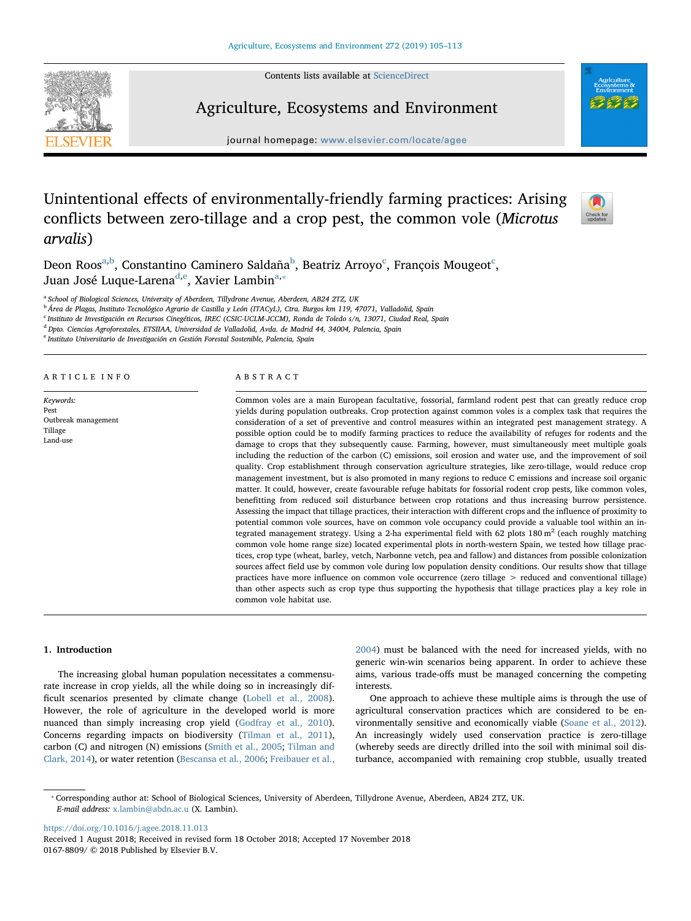Contents lists available at [ScienceDirect](http://www.sciencedirect.com/science/journal/01678809)



Agriculture, Ecosystems and Environment

journal homepage: [www.elsevier.com/locate/agee](https://www.elsevier.com/locate/agee)

# Unintentional effects of environmentally-friendly farming practices: Arising conflicts between zero-tillage and a crop pest, the common vole (Microtus arvalis)



Deon Roos<sup>[a](#page-0-0)[,b](#page-0-1)</sup>, Constantino Caminero Saldaña<sup>[b](#page-0-1)</sup>, Beatriz Arroyo<sup>[c](#page-0-2)</sup>, François Mougeot<sup>c</sup>, Juan José Luque-Larena<sup>[d](#page-0-3),[e](#page-0-4)</sup>, Xavier Lambin<sup>[a,](#page-0-0)</sup>\*

<span id="page-0-0"></span><sup>a</sup> School of Biological Sciences, University of Aberdeen, Tillydrone Avenue, Aberdeen, AB24 2TZ, UK

<span id="page-0-1"></span><sup>b</sup> Área de Plagas, Instituto Tecnológico Agrario de Castilla y León (ITACyL), Ctra. Burgos km 119, 47071, Valladolid, Spain

<span id="page-0-2"></span><sup>c</sup> Instituto de Investigación en Recursos Cinegéticos, IREC (CSIC-UCLM-JCCM), Ronda de Toledo s/n, 13071, Ciudad Real, Spain

<span id="page-0-3"></span><sup>d</sup> Dpto. Ciencias Agroforestales, ETSIIAA, Universidad de Valladolid, Avda. de Madrid 44, 34004, Palencia, Spain

<span id="page-0-4"></span><sup>e</sup> Instituto Universitario de Investigación en Gestión Forestal Sostenible, Palencia, Spain

# ARTICLE INFO

Keywords: Pest Outbreak management Tillage Land-use

## ABSTRACT

Common voles are a main European facultative, fossorial, farmland rodent pest that can greatly reduce crop yields during population outbreaks. Crop protection against common voles is a complex task that requires the consideration of a set of preventive and control measures within an integrated pest management strategy. A possible option could be to modify farming practices to reduce the availability of refuges for rodents and the damage to crops that they subsequently cause. Farming, however, must simultaneously meet multiple goals including the reduction of the carbon (C) emissions, soil erosion and water use, and the improvement of soil quality. Crop establishment through conservation agriculture strategies, like zero-tillage, would reduce crop management investment, but is also promoted in many regions to reduce C emissions and increase soil organic matter. It could, however, create favourable refuge habitats for fossorial rodent crop pests, like common voles, benefitting from reduced soil disturbance between crop rotations and thus increasing burrow persistence. Assessing the impact that tillage practices, their interaction with different crops and the influence of proximity to potential common vole sources, have on common vole occupancy could provide a valuable tool within an integrated management strategy. Using a 2-ha experimental field with 62 plots  $180 \text{ m}^2$  (each roughly matching common vole home range size) located experimental plots in north-western Spain, we tested how tillage practices, crop type (wheat, barley, vetch, Narbonne vetch, pea and fallow) and distances from possible colonization sources affect field use by common vole during low population density conditions. Our results show that tillage practices have more influence on common vole occurrence (zero tillage > reduced and conventional tillage) than other aspects such as crop type thus supporting the hypothesis that tillage practices play a key role in common vole habitat use.

## 1. Introduction

The increasing global human population necessitates a commensurate increase in crop yields, all the while doing so in increasingly difficult scenarios presented by climate change ([Lobell et al., 2008](#page-7-0)). However, the role of agriculture in the developed world is more nuanced than simply increasing crop yield ([Godfray et al., 2010](#page-7-1)). Concerns regarding impacts on biodiversity ([Tilman et al., 2011](#page-8-0)), carbon (C) and nitrogen (N) emissions ([Smith et al., 2005](#page-8-1); [Tilman and](#page-8-2) [Clark, 2014\)](#page-8-2), or water retention [\(Bescansa et al., 2006;](#page-7-2) [Freibauer et al.,](#page-7-3)

[2004\)](#page-7-3) must be balanced with the need for increased yields, with no generic win-win scenarios being apparent. In order to achieve these aims, various trade-offs must be managed concerning the competing interests.

One approach to achieve these multiple aims is through the use of agricultural conservation practices which are considered to be environmentally sensitive and economically viable ([Soane et al., 2012](#page-8-3)). An increasingly widely used conservation practice is zero-tillage (whereby seeds are directly drilled into the soil with minimal soil disturbance, accompanied with remaining crop stubble, usually treated

<span id="page-0-5"></span>⁎ Corresponding author at: School of Biological Sciences, University of Aberdeen, Tillydrone Avenue, Aberdeen, AB24 2TZ, UK. E-mail address: [x.lambin@abdn.ac.u](mailto:x.lambin@abdn.ac.u) (X. Lambin).

<https://doi.org/10.1016/j.agee.2018.11.013>

Received 1 August 2018; Received in revised form 18 October 2018; Accepted 17 November 2018 0167-8809/ © 2018 Published by Elsevier B.V.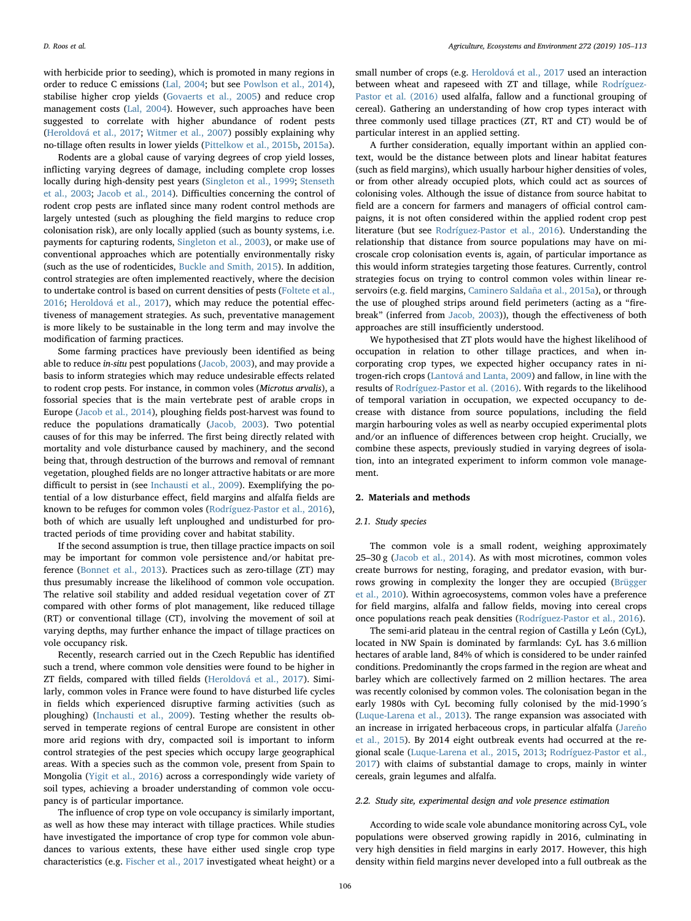with herbicide prior to seeding), which is promoted in many regions in order to reduce C emissions [\(Lal, 2004;](#page-7-4) but see [Powlson et al., 2014](#page-7-5)), stabilise higher crop yields ([Govaerts et al., 2005\)](#page-7-6) and reduce crop management costs ([Lal, 2004\)](#page-7-4). However, such approaches have been suggested to correlate with higher abundance of rodent pests ([Heroldová et al., 2017](#page-7-7); [Witmer et al., 2007\)](#page-8-4) possibly explaining why no-tillage often results in lower yields [\(Pittelkow et al., 2015b,](#page-7-8) [2015a](#page-7-9)).

Rodents are a global cause of varying degrees of crop yield losses, inflicting varying degrees of damage, including complete crop losses locally during high-density pest years [\(Singleton et al., 1999](#page-8-5); [Stenseth](#page-8-6) [et al., 2003;](#page-8-6) [Jacob et al., 2014](#page-7-10)). Difficulties concerning the control of rodent crop pests are inflated since many rodent control methods are largely untested (such as ploughing the field margins to reduce crop colonisation risk), are only locally applied (such as bounty systems, i.e. payments for capturing rodents, [Singleton et al., 2003\)](#page-8-7), or make use of conventional approaches which are potentially environmentally risky (such as the use of rodenticides, [Buckle and Smith, 2015\)](#page-7-11). In addition, control strategies are often implemented reactively, where the decision to undertake control is based on current densities of pests [\(Foltete et al.,](#page-7-12) [2016;](#page-7-12) [Heroldová et al., 2017](#page-7-7)), which may reduce the potential effectiveness of management strategies. As such, preventative management is more likely to be sustainable in the long term and may involve the modification of farming practices.

Some farming practices have previously been identified as being able to reduce in-situ pest populations ([Jacob, 2003\)](#page-7-13), and may provide a basis to inform strategies which may reduce undesirable effects related to rodent crop pests. For instance, in common voles (Microtus arvalis), a fossorial species that is the main vertebrate pest of arable crops in Europe ([Jacob et al., 2014\)](#page-7-10), ploughing fields post-harvest was found to reduce the populations dramatically [\(Jacob, 2003\)](#page-7-13). Two potential causes of for this may be inferred. The first being directly related with mortality and vole disturbance caused by machinery, and the second being that, through destruction of the burrows and removal of remnant vegetation, ploughed fields are no longer attractive habitats or are more difficult to persist in (see [Inchausti et al., 2009](#page-7-14)). Exemplifying the potential of a low disturbance effect, field margins and alfalfa fields are known to be refuges for common voles [\(Rodríguez-Pastor et al., 2016](#page-8-8)), both of which are usually left unploughed and undisturbed for protracted periods of time providing cover and habitat stability.

If the second assumption is true, then tillage practice impacts on soil may be important for common vole persistence and/or habitat preference ([Bonnet et al., 2013](#page-7-15)). Practices such as zero-tillage (ZT) may thus presumably increase the likelihood of common vole occupation. The relative soil stability and added residual vegetation cover of ZT compared with other forms of plot management, like reduced tillage (RT) or conventional tillage (CT), involving the movement of soil at varying depths, may further enhance the impact of tillage practices on vole occupancy risk.

Recently, research carried out in the Czech Republic has identified such a trend, where common vole densities were found to be higher in ZT fields, compared with tilled fields [\(Heroldová et al., 2017\)](#page-7-7). Similarly, common voles in France were found to have disturbed life cycles in fields which experienced disruptive farming activities (such as ploughing) [\(Inchausti et al., 2009](#page-7-14)). Testing whether the results observed in temperate regions of central Europe are consistent in other more arid regions with dry, compacted soil is important to inform control strategies of the pest species which occupy large geographical areas. With a species such as the common vole, present from Spain to Mongolia ([Yigit et al., 2016](#page-8-9)) across a correspondingly wide variety of soil types, achieving a broader understanding of common vole occupancy is of particular importance.

The influence of crop type on vole occupancy is similarly important, as well as how these may interact with tillage practices. While studies have investigated the importance of crop type for common vole abundances to various extents, these have either used single crop type characteristics (e.g. [Fischer et al., 2017](#page-7-16) investigated wheat height) or a

small number of crops (e.g. [Heroldová et al., 2017](#page-7-7) used an interaction between wheat and rapeseed with ZT and tillage, while [Rodríguez-](#page-8-8)[Pastor et al. \(2016\)](#page-8-8) used alfalfa, fallow and a functional grouping of cereal). Gathering an understanding of how crop types interact with three commonly used tillage practices (ZT, RT and CT) would be of particular interest in an applied setting.

A further consideration, equally important within an applied context, would be the distance between plots and linear habitat features (such as field margins), which usually harbour higher densities of voles, or from other already occupied plots, which could act as sources of colonising voles. Although the issue of distance from source habitat to field are a concern for farmers and managers of official control campaigns, it is not often considered within the applied rodent crop pest literature (but see [Rodríguez-Pastor et al., 2016](#page-8-8)). Understanding the relationship that distance from source populations may have on microscale crop colonisation events is, again, of particular importance as this would inform strategies targeting those features. Currently, control strategies focus on trying to control common voles within linear reservoirs (e.g. field margins, [Caminero Saldaña et al., 2015a](#page-7-17)), or through the use of ploughed strips around field perimeters (acting as a "firebreak" (inferred from [Jacob, 2003\)](#page-7-13)), though the effectiveness of both approaches are still insufficiently understood.

We hypothesised that ZT plots would have the highest likelihood of occupation in relation to other tillage practices, and when incorporating crop types, we expected higher occupancy rates in nitrogen-rich crops [\(Lantová and Lanta, 2009](#page-7-18)) and fallow, in line with the results of [Rodríguez-Pastor et al. \(2016\)](#page-8-8). With regards to the likelihood of temporal variation in occupation, we expected occupancy to decrease with distance from source populations, including the field margin harbouring voles as well as nearby occupied experimental plots and/or an influence of differences between crop height. Crucially, we combine these aspects, previously studied in varying degrees of isolation, into an integrated experiment to inform common vole management.

# 2. Materials and methods

# 2.1. Study species

The common vole is a small rodent, weighing approximately 25–30 g [\(Jacob et al., 2014](#page-7-10)). As with most microtines, common voles create burrows for nesting, foraging, and predator evasion, with burrows growing in complexity the longer they are occupied ([Brügger](#page-7-19) [et al., 2010](#page-7-19)). Within agroecosystems, common voles have a preference for field margins, alfalfa and fallow fields, moving into cereal crops once populations reach peak densities [\(Rodríguez-Pastor et al., 2016](#page-8-8)).

The semi-arid plateau in the central region of Castilla y León (CyL), located in NW Spain is dominated by farmlands: CyL has 3.6 million hectares of arable land, 84% of which is considered to be under rainfed conditions. Predominantly the crops farmed in the region are wheat and barley which are collectively farmed on 2 million hectares. The area was recently colonised by common voles. The colonisation began in the early 1980s with CyL becoming fully colonised by the mid-1990´s ([Luque-Larena et al., 2013\)](#page-7-20). The range expansion was associated with an increase in irrigated herbaceous crops, in particular alfalfa ([Jareño](#page-7-21) [et al., 2015\)](#page-7-21). By 2014 eight outbreak events had occurred at the regional scale [\(Luque-Larena et al., 2015](#page-7-22), [2013](#page-7-20); [Rodríguez-Pastor et al.,](#page-7-23) [2017\)](#page-7-23) with claims of substantial damage to crops, mainly in winter cereals, grain legumes and alfalfa.

## 2.2. Study site, experimental design and vole presence estimation

According to wide scale vole abundance monitoring across CyL, vole populations were observed growing rapidly in 2016, culminating in very high densities in field margins in early 2017. However, this high density within field margins never developed into a full outbreak as the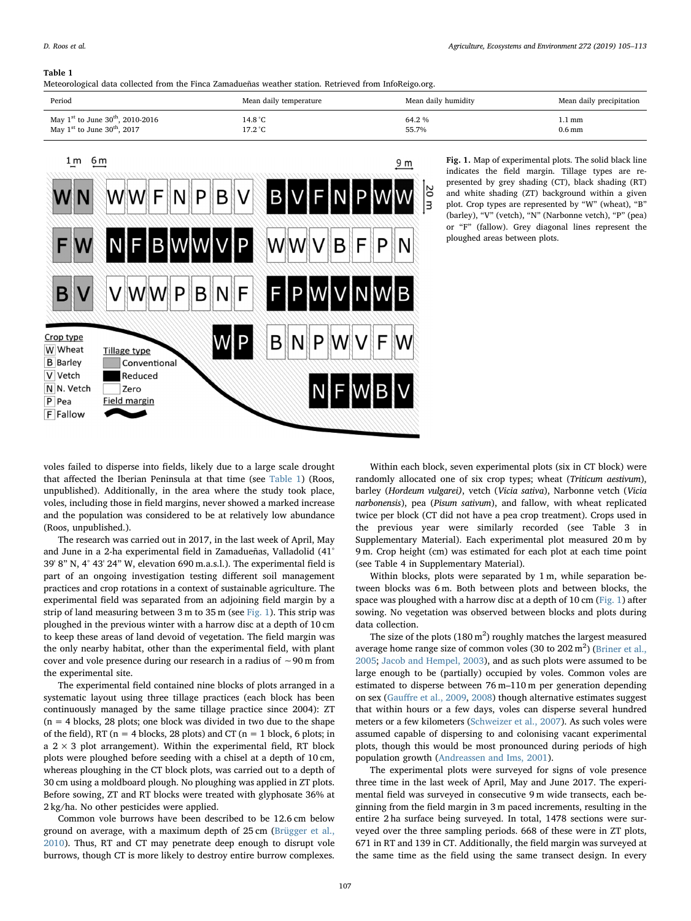# <span id="page-2-0"></span>Table 1

Meteorological data collected from the Finca Zamadueñas weather station. Retrieved from InfoReigo.org.

| Period                                              | Mean daily temperature | Mean daily humidity | Mean daily precipitation |
|-----------------------------------------------------|------------------------|---------------------|--------------------------|
| May $1^{st}$ to June $30^{th}$ , 2010-2016          | 14.8 °C                | 64.2 %              | l.1 mm                   |
| May $1^{\text{st}}$ to June $30^{\text{th}}$ , 2017 | $17.2\degree C$        | 55.7%               | 0.6 <sub>mm</sub>        |

<span id="page-2-1"></span>

Fig. 1. Map of experimental plots. The solid black line indicates the field margin. Tillage types are represented by grey shading (CT), black shading (RT) and white shading (ZT) background within a given plot. Crop types are represented by "W" (wheat), "B" (barley), "V" (vetch), "N" (Narbonne vetch), "P" (pea) or "F" (fallow). Grey diagonal lines represent the ploughed areas between plots.

voles failed to disperse into fields, likely due to a large scale drought that affected the Iberian Peninsula at that time (see [Table 1\)](#page-2-0) (Roos, unpublished). Additionally, in the area where the study took place, voles, including those in field margins, never showed a marked increase and the population was considered to be at relatively low abundance (Roos, unpublished.).

The research was carried out in 2017, in the last week of April, May and June in a 2-ha experimental field in Zamadueñas, Valladolid (41° 39' 8" N, 4° 43' 24" W, elevation 690 m.a.s.l.). The experimental field is part of an ongoing investigation testing different soil management practices and crop rotations in a context of sustainable agriculture. The experimental field was separated from an adjoining field margin by a strip of land measuring between 3 m to 35 m (see [Fig. 1\)](#page-2-1). This strip was ploughed in the previous winter with a harrow disc at a depth of 10 cm to keep these areas of land devoid of vegetation. The field margin was the only nearby habitat, other than the experimental field, with plant cover and vole presence during our research in a radius of ∼90 m from the experimental site.

The experimental field contained nine blocks of plots arranged in a systematic layout using three tillage practices (each block has been continuously managed by the same tillage practice since 2004): ZT  $(n = 4$  blocks, 28 plots; one block was divided in two due to the shape of the field), RT ( $n = 4$  blocks, 28 plots) and CT ( $n = 1$  block, 6 plots; in a  $2 \times 3$  plot arrangement). Within the experimental field, RT block plots were ploughed before seeding with a chisel at a depth of 10 cm, whereas ploughing in the CT block plots, was carried out to a depth of 30 cm using a moldboard plough. No ploughing was applied in ZT plots. Before sowing, ZT and RT blocks were treated with glyphosate 36% at 2 kg/ha. No other pesticides were applied.

Common vole burrows have been described to be 12.6 cm below ground on average, with a maximum depth of 25 cm ([Brügger et al.,](#page-7-19) [2010\)](#page-7-19). Thus, RT and CT may penetrate deep enough to disrupt vole burrows, though CT is more likely to destroy entire burrow complexes.

Within each block, seven experimental plots (six in CT block) were randomly allocated one of six crop types; wheat (Triticum aestivum), barley (Hordeum vulgarei), vetch (Vicia sativa), Narbonne vetch (Vicia narbonensis), pea (Pisum sativum), and fallow, with wheat replicated twice per block (CT did not have a pea crop treatment). Crops used in the previous year were similarly recorded (see Table 3 in Supplementary Material). Each experimental plot measured 20 m by 9 m. Crop height (cm) was estimated for each plot at each time point (see Table 4 in Supplementary Material).

Within blocks, plots were separated by 1 m, while separation between blocks was 6 m. Both between plots and between blocks, the space was ploughed with a harrow disc at a depth of 10 cm ([Fig. 1](#page-2-1)) after sowing. No vegetation was observed between blocks and plots during data collection.

The size of the plots (180  $m<sup>2</sup>$ ) roughly matches the largest measured average home range size of common voles (30 to  $202 \text{ m}^2$ ) ([Briner et al.,](#page-7-24) [2005;](#page-7-24) [Jacob and Hempel, 2003](#page-7-25)), and as such plots were assumed to be large enough to be (partially) occupied by voles. Common voles are estimated to disperse between 76 m–110 m per generation depending on sex (Gauff[re et al., 2009](#page-7-26), [2008](#page-7-27)) though alternative estimates suggest that within hours or a few days, voles can disperse several hundred meters or a few kilometers ([Schweizer et al., 2007\)](#page-8-10). As such voles were assumed capable of dispersing to and colonising vacant experimental plots, though this would be most pronounced during periods of high population growth [\(Andreassen and Ims, 2001](#page-7-28)).

The experimental plots were surveyed for signs of vole presence three time in the last week of April, May and June 2017. The experimental field was surveyed in consecutive 9 m wide transects, each beginning from the field margin in 3 m paced increments, resulting in the entire 2 ha surface being surveyed. In total, 1478 sections were surveyed over the three sampling periods. 668 of these were in ZT plots, 671 in RT and 139 in CT. Additionally, the field margin was surveyed at the same time as the field using the same transect design. In every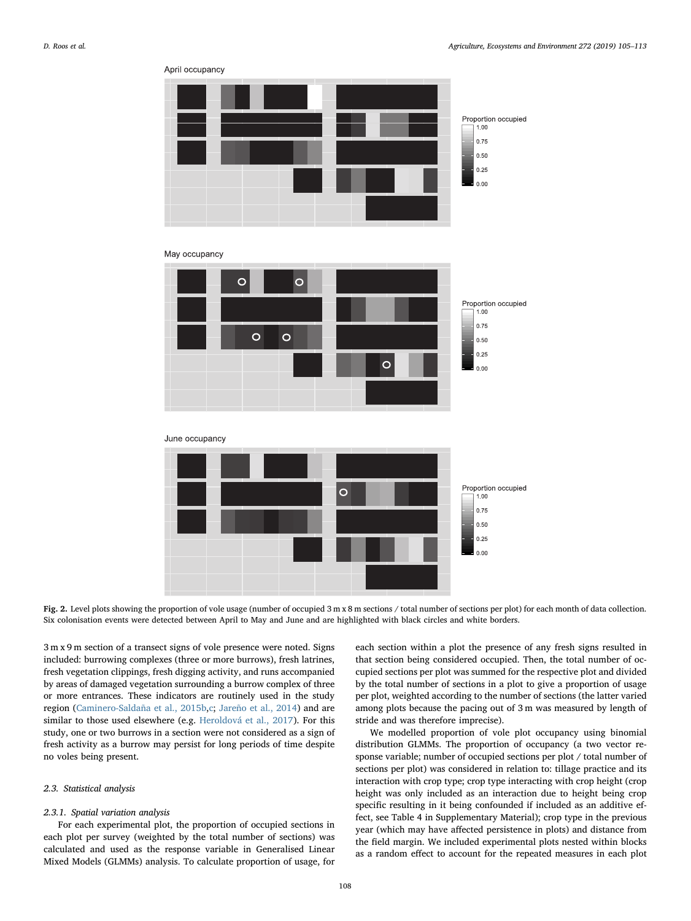<span id="page-3-0"></span>



Fig. 2. Level plots showing the proportion of vole usage (number of occupied  $3 \text{ m} \times 8 \text{ m}$  sections / total number of sections per plot) for each month of data collection. Six colonisation events were detected between April to May and June and are highlighted with black circles and white borders.

3 m x 9 m section of a transect signs of vole presence were noted. Signs included: burrowing complexes (three or more burrows), fresh latrines, fresh vegetation clippings, fresh digging activity, and runs accompanied by areas of damaged vegetation surrounding a burrow complex of three or more entrances. These indicators are routinely used in the study region ([Caminero-Saldaña et al., 2015b](#page-7-29)[,c;](#page-7-30) [Jareño et al., 2014](#page-7-31)) and are similar to those used elsewhere (e.g. [Heroldová et al., 2017\)](#page-7-7). For this study, one or two burrows in a section were not considered as a sign of fresh activity as a burrow may persist for long periods of time despite no voles being present.

April occupancy

## 2.3. Statistical analysis

## 2.3.1. Spatial variation analysis

For each experimental plot, the proportion of occupied sections in each plot per survey (weighted by the total number of sections) was calculated and used as the response variable in Generalised Linear Mixed Models (GLMMs) analysis. To calculate proportion of usage, for

each section within a plot the presence of any fresh signs resulted in that section being considered occupied. Then, the total number of occupied sections per plot was summed for the respective plot and divided by the total number of sections in a plot to give a proportion of usage per plot, weighted according to the number of sections (the latter varied among plots because the pacing out of 3 m was measured by length of stride and was therefore imprecise).

We modelled proportion of vole plot occupancy using binomial distribution GLMMs. The proportion of occupancy (a two vector response variable; number of occupied sections per plot / total number of sections per plot) was considered in relation to: tillage practice and its interaction with crop type; crop type interacting with crop height (crop height was only included as an interaction due to height being crop specific resulting in it being confounded if included as an additive effect, see Table 4 in Supplementary Material); crop type in the previous year (which may have affected persistence in plots) and distance from the field margin. We included experimental plots nested within blocks as a random effect to account for the repeated measures in each plot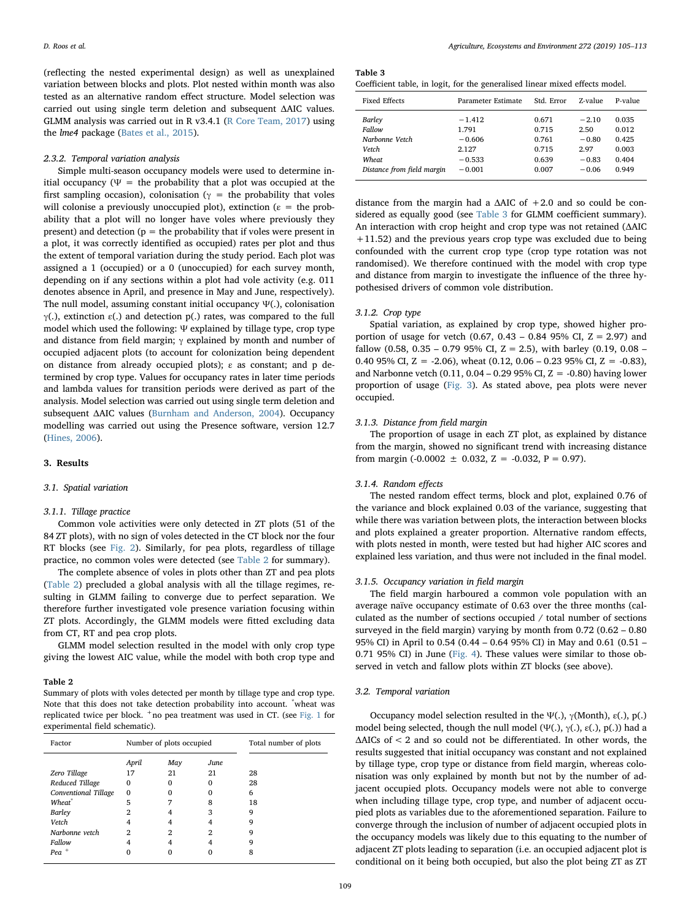(reflecting the nested experimental design) as well as unexplained variation between blocks and plots. Plot nested within month was also tested as an alternative random effect structure. Model selection was carried out using single term deletion and subsequent ΔAIC values. GLMM analysis was carried out in R v3.4.1 ([R Core Team, 2017](#page-7-32)) using the lme4 package ([Bates et al., 2015\)](#page-7-33).

## 2.3.2. Temporal variation analysis

Simple multi-season occupancy models were used to determine initial occupancy ( $\Psi$  = the probability that a plot was occupied at the first sampling occasion), colonisation ( $\gamma$  = the probability that voles will colonise a previously unoccupied plot), extinction ( $\varepsilon$  = the probability that a plot will no longer have voles where previously they present) and detection ( $p =$  the probability that if voles were present in a plot, it was correctly identified as occupied) rates per plot and thus the extent of temporal variation during the study period. Each plot was assigned a 1 (occupied) or a 0 (unoccupied) for each survey month, depending on if any sections within a plot had vole activity (e.g. 011 denotes absence in April, and presence in May and June, respectively). The null model, assuming constant initial occupancy Ψ(.), colonisation γ(.), extinction ε(.) and detection p(.) rates, was compared to the full model which used the following: Ψ explained by tillage type, crop type and distance from field margin;  $\gamma$  explained by month and number of occupied adjacent plots (to account for colonization being dependent on distance from already occupied plots); ε as constant; and p determined by crop type. Values for occupancy rates in later time periods and lambda values for transition periods were derived as part of the analysis. Model selection was carried out using single term deletion and subsequent ΔAIC values [\(Burnham and Anderson, 2004](#page-7-34)). Occupancy modelling was carried out using the Presence software, version 12.7 ([Hines, 2006](#page-7-35)).

# 3. Results

# 3.1. Spatial variation

#### 3.1.1. Tillage practice

Common vole activities were only detected in ZT plots (51 of the 84 ZT plots), with no sign of voles detected in the CT block nor the four RT blocks (see [Fig. 2\)](#page-3-0). Similarly, for pea plots, regardless of tillage practice, no common voles were detected (see [Table 2](#page-4-0) for summary).

The complete absence of voles in plots other than ZT and pea plots ([Table 2\)](#page-4-0) precluded a global analysis with all the tillage regimes, resulting in GLMM failing to converge due to perfect separation. We therefore further investigated vole presence variation focusing within ZT plots. Accordingly, the GLMM models were fitted excluding data from CT, RT and pea crop plots.

GLMM model selection resulted in the model with only crop type giving the lowest AIC value, while the model with both crop type and

#### <span id="page-4-0"></span>Table 2

Summary of plots with voles detected per month by tillage type and crop type. Note that this does not take detection probability into account. \* wheat was replicated twice per block.  $+$ no pea treatment was used in CT. (see [Fig. 1](#page-2-1) for experimental field schematic).

| Factor               | Number of plots occupied |     |          | Total number of plots |
|----------------------|--------------------------|-----|----------|-----------------------|
|                      | April                    | May | June     |                       |
| Zero Tillage         | 17                       | 21  | 21       | 28                    |
| Reduced Tillage      | 0                        | 0   | $\Omega$ | 28                    |
| Conventional Tillage | $\Omega$                 | 0   | $\Omega$ | 6                     |
| Wheat <sup>*</sup>   | 5                        |     | 8        | 18                    |
| Barley               | 2                        | 4   | 3        | 9                     |
| Vetch                |                          |     |          | 9                     |
| Narbonne vetch       | $\mathfrak{D}$           | 2   | 2        | 9                     |
| Fallow               |                          | 4   |          | 9                     |
| $Pea$ <sup>+</sup>   |                          |     |          | 8                     |

<span id="page-4-1"></span>

| ρ<br>anı<br>в |  |
|---------------|--|
|               |  |

Coefficient table, in logit, for the generalised linear mixed effects model.

| Fixed Effects                                                                      | Parameter Estimate                                             | Std. Error                                         | Z-value                                                  | P-value                                            |
|------------------------------------------------------------------------------------|----------------------------------------------------------------|----------------------------------------------------|----------------------------------------------------------|----------------------------------------------------|
| Barley<br>Fallow<br>Narbonne Vetch<br>Vetch<br>Wheat<br>Distance from field margin | $-1.412$<br>1.791<br>$-0.606$<br>2.127<br>$-0.533$<br>$-0.001$ | 0.671<br>0.715<br>0.761<br>0.715<br>0.639<br>0.007 | $-2.10$<br>2.50<br>$-0.80$<br>2.97<br>$-0.83$<br>$-0.06$ | 0.035<br>0.012<br>0.425<br>0.003<br>0.404<br>0.949 |
|                                                                                    |                                                                |                                                    |                                                          |                                                    |

distance from the margin had a  $\triangle$ AIC of  $+2.0$  and so could be considered as equally good (see [Table 3](#page-4-1) for GLMM coefficient summary). An interaction with crop height and crop type was not retained (ΔAIC +11.52) and the previous years crop type was excluded due to being confounded with the current crop type (crop type rotation was not randomised). We therefore continued with the model with crop type and distance from margin to investigate the influence of the three hypothesised drivers of common vole distribution.

# 3.1.2. Crop type

Spatial variation, as explained by crop type, showed higher proportion of usage for vetch  $(0.67, 0.43 - 0.84, 95\% \text{ CI}, Z = 2.97)$  and fallow (0.58, 0.35 – 0.79 95% CI,  $Z = 2.5$ ), with barley (0.19, 0.08 – 0.40 95% CI,  $Z = -2.06$ ), wheat  $(0.12, 0.06 - 0.23)$  95% CI,  $Z = -0.83$ ), and Narbonne vetch  $(0.11, 0.04 - 0.2995\% \text{ CI}, Z = -0.80)$  having lower proportion of usage ([Fig. 3\)](#page-5-0). As stated above, pea plots were never occupied.

# 3.1.3. Distance from field margin

The proportion of usage in each ZT plot, as explained by distance from the margin, showed no significant trend with increasing distance from margin (-0.0002  $\pm$  0.032, Z = -0.032, P = 0.97).

## 3.1.4. Random effects

The nested random effect terms, block and plot, explained 0.76 of the variance and block explained 0.03 of the variance, suggesting that while there was variation between plots, the interaction between blocks and plots explained a greater proportion. Alternative random effects, with plots nested in month, were tested but had higher AIC scores and explained less variation, and thus were not included in the final model.

## 3.1.5. Occupancy variation in field margin

The field margin harboured a common vole population with an average naïve occupancy estimate of 0.63 over the three months (calculated as the number of sections occupied / total number of sections surveyed in the field margin) varying by month from 0.72 (0.62 – 0.80 95% CI) in April to 0.54 (0.44 – 0.64 95% CI) in May and 0.61 (0.51 – 0.71 95% CI) in June [\(Fig. 4\)](#page-5-1). These values were similar to those observed in vetch and fallow plots within ZT blocks (see above).

## 3.2. Temporal variation

Occupancy model selection resulted in the Ψ(.),  $\gamma$ (Month),  $\varepsilon$ (.), p(.) model being selected, though the null model (Ψ(.),  $\gamma$ (.),  $\varepsilon$ (.),  $p$ (.)) had a ΔAICs of < 2 and so could not be differentiated. In other words, the results suggested that initial occupancy was constant and not explained by tillage type, crop type or distance from field margin, whereas colonisation was only explained by month but not by the number of adjacent occupied plots. Occupancy models were not able to converge when including tillage type, crop type, and number of adjacent occupied plots as variables due to the aforementioned separation. Failure to converge through the inclusion of number of adjacent occupied plots in the occupancy models was likely due to this equating to the number of adjacent ZT plots leading to separation (i.e. an occupied adjacent plot is conditional on it being both occupied, but also the plot being ZT as ZT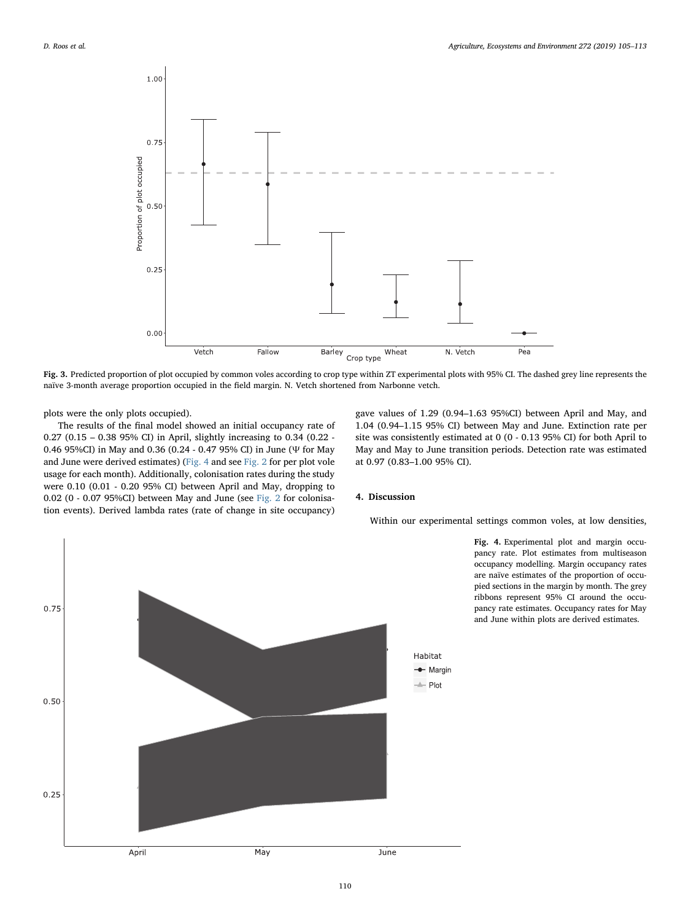<span id="page-5-0"></span>

Fig. 3. Predicted proportion of plot occupied by common voles according to crop type within ZT experimental plots with 95% CI. The dashed grey line represents the naïve 3-month average proportion occupied in the field margin. N. Vetch shortened from Narbonne vetch.

plots were the only plots occupied).

The results of the final model showed an initial occupancy rate of 0.27 (0.15 – 0.38 95% CI) in April, slightly increasing to 0.34 (0.22 - 0.46 95%CI) in May and 0.36 (0.24 - 0.47 95% CI) in June (Ψ for May and June were derived estimates) [\(Fig. 4](#page-5-1) and see [Fig. 2](#page-3-0) for per plot vole usage for each month). Additionally, colonisation rates during the study were 0.10 (0.01 - 0.20 95% CI) between April and May, dropping to 0.02 (0 - 0.07 95%CI) between May and June (see [Fig. 2](#page-3-0) for colonisation events). Derived lambda rates (rate of change in site occupancy)

gave values of 1.29 (0.94–1.63 95%CI) between April and May, and 1.04 (0.94–1.15 95% CI) between May and June. Extinction rate per site was consistently estimated at 0 (0 - 0.13 95% CI) for both April to May and May to June transition periods. Detection rate was estimated at 0.97 (0.83–1.00 95% CI).

## 4. Discussion

Within our experimental settings common voles, at low densities,

Fig. 4. Experimental plot and margin occupancy rate. Plot estimates from multiseason occupancy modelling. Margin occupancy rates are naïve estimates of the proportion of occupied sections in the margin by month. The grey ribbons represent 95% CI around the occupancy rate estimates. Occupancy rates for May and June within plots are derived estimates.

<span id="page-5-1"></span>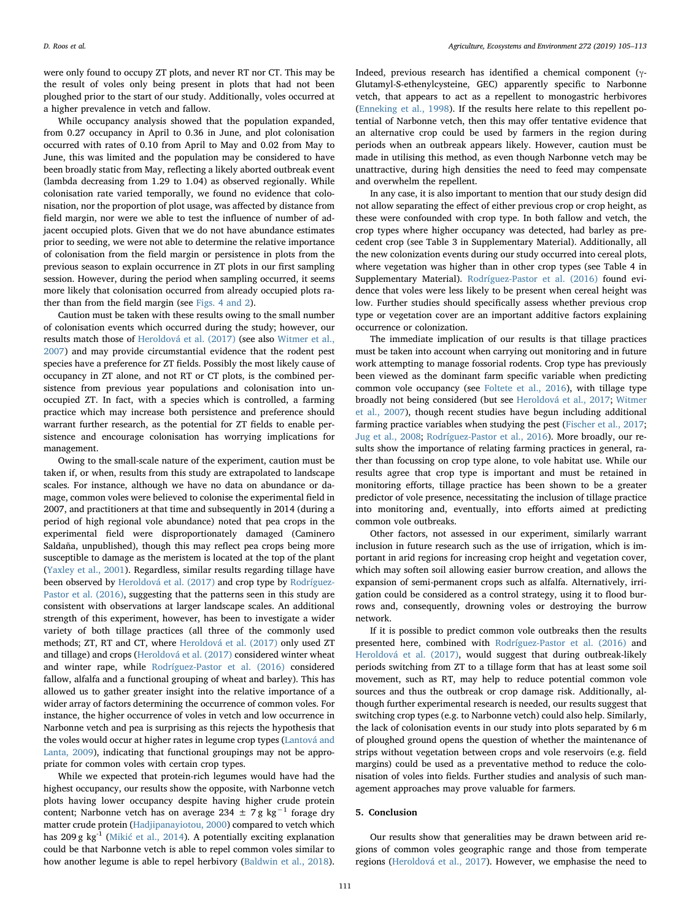were only found to occupy ZT plots, and never RT nor CT. This may be the result of voles only being present in plots that had not been ploughed prior to the start of our study. Additionally, voles occurred at a higher prevalence in vetch and fallow.

While occupancy analysis showed that the population expanded, from 0.27 occupancy in April to 0.36 in June, and plot colonisation occurred with rates of 0.10 from April to May and 0.02 from May to June, this was limited and the population may be considered to have been broadly static from May, reflecting a likely aborted outbreak event (lambda decreasing from 1.29 to 1.04) as observed regionally. While colonisation rate varied temporally, we found no evidence that colonisation, nor the proportion of plot usage, was affected by distance from field margin, nor were we able to test the influence of number of adjacent occupied plots. Given that we do not have abundance estimates prior to seeding, we were not able to determine the relative importance of colonisation from the field margin or persistence in plots from the previous season to explain occurrence in ZT plots in our first sampling session. However, during the period when sampling occurred, it seems more likely that colonisation occurred from already occupied plots rather than from the field margin (see [Figs. 4 and 2\)](#page-5-1).

Caution must be taken with these results owing to the small number of colonisation events which occurred during the study; however, our results match those of [Heroldová et al. \(2017\)](#page-7-7) (see also [Witmer et al.,](#page-8-4) [2007\)](#page-8-4) and may provide circumstantial evidence that the rodent pest species have a preference for ZT fields. Possibly the most likely cause of occupancy in ZT alone, and not RT or CT plots, is the combined persistence from previous year populations and colonisation into unoccupied ZT. In fact, with a species which is controlled, a farming practice which may increase both persistence and preference should warrant further research, as the potential for ZT fields to enable persistence and encourage colonisation has worrying implications for management.

Owing to the small-scale nature of the experiment, caution must be taken if, or when, results from this study are extrapolated to landscape scales. For instance, although we have no data on abundance or damage, common voles were believed to colonise the experimental field in 2007, and practitioners at that time and subsequently in 2014 (during a period of high regional vole abundance) noted that pea crops in the experimental field were disproportionately damaged (Caminero Saldaña, unpublished), though this may reflect pea crops being more susceptible to damage as the meristem is located at the top of the plant ([Yaxley et al., 2001\)](#page-8-11). Regardless, similar results regarding tillage have been observed by [Heroldová et al. \(2017\)](#page-7-7) and crop type by [Rodríguez-](#page-8-8)[Pastor et al. \(2016\),](#page-8-8) suggesting that the patterns seen in this study are consistent with observations at larger landscape scales. An additional strength of this experiment, however, has been to investigate a wider variety of both tillage practices (all three of the commonly used methods; ZT, RT and CT, where [Heroldová et al. \(2017\)](#page-7-7) only used ZT and tillage) and crops [\(Heroldová et al. \(2017\)](#page-7-7) considered winter wheat and winter rape, while [Rodríguez-Pastor et al. \(2016\)](#page-8-8) considered fallow, alfalfa and a functional grouping of wheat and barley). This has allowed us to gather greater insight into the relative importance of a wider array of factors determining the occurrence of common voles. For instance, the higher occurrence of voles in vetch and low occurrence in Narbonne vetch and pea is surprising as this rejects the hypothesis that the voles would occur at higher rates in legume crop types ([Lantová and](#page-7-18) [Lanta, 2009](#page-7-18)), indicating that functional groupings may not be appropriate for common voles with certain crop types.

While we expected that protein-rich legumes would have had the highest occupancy, our results show the opposite, with Narbonne vetch plots having lower occupancy despite having higher crude protein content; Narbonne vetch has on average 234  $\pm$  7 g kg<sup>-1</sup> forage dry matter crude protein ([Hadjipanayiotou, 2000\)](#page-7-36) compared to vetch which has 209 g kg<sup>-1</sup> (Mikić [et al., 2014\)](#page-7-37). A potentially exciting explanation could be that Narbonne vetch is able to repel common voles similar to how another legume is able to repel herbivory ([Baldwin et al., 2018](#page-7-38)).

Indeed, previous research has identified a chemical component (γ-Glutamyl-S-ethenylcysteine, GEC) apparently specific to Narbonne vetch, that appears to act as a repellent to monogastric herbivores ([Enneking et al., 1998](#page-7-39)). If the results here relate to this repellent potential of Narbonne vetch, then this may offer tentative evidence that an alternative crop could be used by farmers in the region during periods when an outbreak appears likely. However, caution must be made in utilising this method, as even though Narbonne vetch may be unattractive, during high densities the need to feed may compensate and overwhelm the repellent.

In any case, it is also important to mention that our study design did not allow separating the effect of either previous crop or crop height, as these were confounded with crop type. In both fallow and vetch, the crop types where higher occupancy was detected, had barley as precedent crop (see Table 3 in Supplementary Material). Additionally, all the new colonization events during our study occurred into cereal plots, where vegetation was higher than in other crop types (see Table 4 in Supplementary Material). [Rodríguez-Pastor et al. \(2016\)](#page-8-8) found evidence that voles were less likely to be present when cereal height was low. Further studies should specifically assess whether previous crop type or vegetation cover are an important additive factors explaining occurrence or colonization.

The immediate implication of our results is that tillage practices must be taken into account when carrying out monitoring and in future work attempting to manage fossorial rodents. Crop type has previously been viewed as the dominant farm specific variable when predicting common vole occupancy (see [Foltete et al., 2016](#page-7-12)), with tillage type broadly not being considered (but see [Heroldová et al., 2017](#page-7-7); [Witmer](#page-8-4) [et al., 2007](#page-8-4)), though recent studies have begun including additional farming practice variables when studying the pest ([Fischer et al., 2017](#page-7-16); [Jug et al., 2008;](#page-7-40) [Rodríguez-Pastor et al., 2016](#page-8-8)). More broadly, our results show the importance of relating farming practices in general, rather than focussing on crop type alone, to vole habitat use. While our results agree that crop type is important and must be retained in monitoring efforts, tillage practice has been shown to be a greater predictor of vole presence, necessitating the inclusion of tillage practice into monitoring and, eventually, into efforts aimed at predicting common vole outbreaks.

Other factors, not assessed in our experiment, similarly warrant inclusion in future research such as the use of irrigation, which is important in arid regions for increasing crop height and vegetation cover, which may soften soil allowing easier burrow creation, and allows the expansion of semi-permanent crops such as alfalfa. Alternatively, irrigation could be considered as a control strategy, using it to flood burrows and, consequently, drowning voles or destroying the burrow network.

If it is possible to predict common vole outbreaks then the results presented here, combined with [Rodríguez-Pastor et al. \(2016\)](#page-8-8) and [Heroldová et al. \(2017\)](#page-7-7), would suggest that during outbreak-likely periods switching from ZT to a tillage form that has at least some soil movement, such as RT, may help to reduce potential common vole sources and thus the outbreak or crop damage risk. Additionally, although further experimental research is needed, our results suggest that switching crop types (e.g. to Narbonne vetch) could also help. Similarly, the lack of colonisation events in our study into plots separated by 6 m of ploughed ground opens the question of whether the maintenance of strips without vegetation between crops and vole reservoirs (e.g. field margins) could be used as a preventative method to reduce the colonisation of voles into fields. Further studies and analysis of such management approaches may prove valuable for farmers.

## 5. Conclusion

Our results show that generalities may be drawn between arid regions of common voles geographic range and those from temperate regions [\(Heroldová et al., 2017](#page-7-7)). However, we emphasise the need to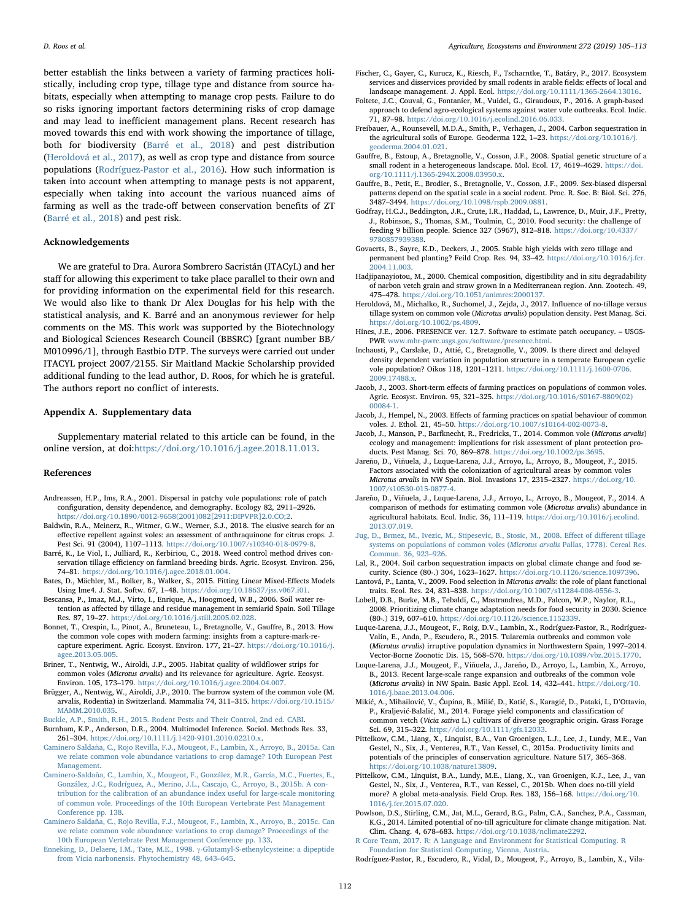better establish the links between a variety of farming practices holistically, including crop type, tillage type and distance from source habitats, especially when attempting to manage crop pests. Failure to do so risks ignoring important factors determining risks of crop damage and may lead to inefficient management plans. Recent research has moved towards this end with work showing the importance of tillage, both for biodiversity ([Barré et al., 2018](#page-7-41)) and pest distribution ([Heroldová et al., 2017\)](#page-7-7), as well as crop type and distance from source populations [\(Rodríguez-Pastor et al., 2016\)](#page-8-8). How such information is taken into account when attempting to manage pests is not apparent, especially when taking into account the various nuanced aims of farming as well as the trade-off between conservation benefits of ZT ([Barré et al., 2018](#page-7-41)) and pest risk.

## Acknowledgements

We are grateful to Dra. Aurora Sombrero Sacristán (ITACyL) and her staff for allowing this experiment to take place parallel to their own and for providing information on the experimental field for this research. We would also like to thank Dr Alex Douglas for his help with the statistical analysis, and K. Barré and an anonymous reviewer for help comments on the MS. This work was supported by the Biotechnology and Biological Sciences Research Council (BBSRC) [grant number BB/ M010996/1], through Eastbio DTP. The surveys were carried out under ITACYL project 2007/2155. Sir Maitland Mackie Scholarship provided additional funding to the lead author, D. Roos, for which he is grateful. The authors report no conflict of interests.

## Appendix A. Supplementary data

Supplementary material related to this article can be found, in the online version, at doi:<https://doi.org/10.1016/j.agee.2018.11.013>.

#### References

- <span id="page-7-28"></span>Andreassen, H.P., Ims, R.A., 2001. Dispersal in patchy vole populations: role of patch configuration, density dependence, and demography. Ecology 82, 2911–2926. [https://doi.org/10.1890/0012-9658\(2001\)082\[2911:DIPVPR\]2.0.CO;2.](https://doi.org/10.1890/0012-9658(2001)082[2911:DIPVPR]2.0.CO;2)
- <span id="page-7-38"></span>Baldwin, R.A., Meinerz, R., Witmer, G.W., Werner, S.J., 2018. The elusive search for an effective repellent against voles: an assessment of anthraquinone for citrus crops. J. Pest Sci. 91 (2004), 1107–1113. [https://doi.org/10.1007/s10340-018-0979-8.](https://doi.org/10.1007/s10340-018-0979-8)
- <span id="page-7-41"></span>Barré, K., Le Viol, I., Julliard, R., Kerbiriou, C., 2018. Weed control method drives conservation tillage efficiency on farmland breeding birds. Agric. Ecosyst. Environ. 256, 74–81. [https://doi.org/10.1016/j.agee.2018.01.004.](https://doi.org/10.1016/j.agee.2018.01.004)
- <span id="page-7-33"></span>Bates, D., Mächler, M., Bolker, B., Walker, S., 2015. Fitting Linear Mixed-Effects Models Using lme4. J. Stat. Softw. 67, 1–48. <https://doi.org/10.18637/jss.v067.i01>.
- <span id="page-7-2"></span>Bescansa, P., Imaz, M.J., Virto, I., Enrique, A., Hoogmoed, W.B., 2006. Soil water retention as affected by tillage and residue management in semiarid Spain. Soil Tillage Res. 87, 19–27. <https://doi.org/10.1016/j.still.2005.02.028>.
- <span id="page-7-15"></span>Bonnet, T., Crespin, L., Pinot, A., Bruneteau, L., Bretagnolle, V., Gauffre, B., 2013. How the common vole copes with modern farming: insights from a capture-mark-recapture experiment. Agric. Ecosyst. Environ. 177, 21–27. [https://doi.org/10.1016/j.](https://doi.org/10.1016/j.agee.2013.05.005) [agee.2013.05.005](https://doi.org/10.1016/j.agee.2013.05.005).
- <span id="page-7-24"></span>Briner, T., Nentwig, W., Airoldi, J.P., 2005. Habitat quality of wildflower strips for common voles (Microtus arvalis) and its relevance for agriculture. Agric. Ecosyst. Environ. 105, 173–179. [https://doi.org/10.1016/j.agee.2004.04.007.](https://doi.org/10.1016/j.agee.2004.04.007)
- <span id="page-7-19"></span>Brügger, A., Nentwig, W., Airoldi, J.P., 2010. The burrow system of the common vole (M. arvalis, Rodentia) in Switzerland. Mammalia 74, 311–315. [https://doi.org/10.1515/](https://doi.org/10.1515/MAMM.2010.035) [MAMM.2010.035](https://doi.org/10.1515/MAMM.2010.035).
- <span id="page-7-34"></span><span id="page-7-11"></span>[Buckle, A.P., Smith, R.H., 2015. Rodent Pests and Their Control, 2nd ed. CABI.](http://refhub.elsevier.com/S0167-8809(18)30470-5/sbref0045) Burnham, K.P., Anderson, D.R., 2004. Multimodel Inference. Sociol. Methods Res. 33,
- 261–304. <https://doi.org/10.1111/j.1420-9101.2010.02210.x>.
- <span id="page-7-17"></span>[Caminero Saldaña, C., Rojo Revilla, F.J., Mougeot, F., Lambin, X., Arroyo, B., 2015a. Can](http://refhub.elsevier.com/S0167-8809(18)30470-5/sbref0055) [we relate common vole abundance variations to crop damage? 10th European Pest](http://refhub.elsevier.com/S0167-8809(18)30470-5/sbref0055) [Management](http://refhub.elsevier.com/S0167-8809(18)30470-5/sbref0055).
- <span id="page-7-29"></span>[Caminero-Saldaña, C., Lambin, X., Mougeot, F., González, M.R., García, M.C., Fuertes, E.,](http://refhub.elsevier.com/S0167-8809(18)30470-5/sbref0060) [González, J.C., Rodríguez, A., Merino, J.L., Cascajo, C., Arroyo, B., 2015b. A con](http://refhub.elsevier.com/S0167-8809(18)30470-5/sbref0060)[tribution for the calibration of an abundance index useful for large-scale monitoring](http://refhub.elsevier.com/S0167-8809(18)30470-5/sbref0060) [of common vole. Proceedings of the 10th European Vertebrate Pest Management](http://refhub.elsevier.com/S0167-8809(18)30470-5/sbref0060) [Conference pp. 138](http://refhub.elsevier.com/S0167-8809(18)30470-5/sbref0060).
- <span id="page-7-30"></span>[Caminero Saldaña, C., Rojo Revilla, F.J., Mougeot, F., Lambin, X., Arroyo, B., 2015c. Can](http://refhub.elsevier.com/S0167-8809(18)30470-5/sbref0065) [we relate common vole abundance variations to crop damage? Proceedings of the](http://refhub.elsevier.com/S0167-8809(18)30470-5/sbref0065) [10th European Vertebrate Pest Management Conference pp. 133](http://refhub.elsevier.com/S0167-8809(18)30470-5/sbref0065).
- <span id="page-7-39"></span>[Enneking, D., Delaere, I.M., Tate, M.E., 1998.](http://refhub.elsevier.com/S0167-8809(18)30470-5/sbref0070) γ-Glutamyl-S-ethenylcysteine: a dipeptide [from Vicia narbonensis. Phytochemistry 48, 643](http://refhub.elsevier.com/S0167-8809(18)30470-5/sbref0070)–645.
- <span id="page-7-16"></span>Fischer, C., Gayer, C., Kurucz, K., Riesch, F., Tscharntke, T., Batáry, P., 2017. Ecosystem services and disservices provided by small rodents in arable fields: effects of local and landscape management. J. Appl. Ecol. <https://doi.org/10.1111/1365-2664.13016>.
- <span id="page-7-12"></span>Foltete, J.C., Couval, G., Fontanier, M., Vuidel, G., Giraudoux, P., 2016. A graph-based approach to defend agro-ecological systems against water vole outbreaks. Ecol. Indic. 71, 87–98. [https://doi.org/10.1016/j.ecolind.2016.06.033.](https://doi.org/10.1016/j.ecolind.2016.06.033)
- <span id="page-7-3"></span>Freibauer, A., Rounsevell, M.D.A., Smith, P., Verhagen, J., 2004. Carbon sequestration in the agricultural soils of Europe. Geoderma 122, 1–23. [https://doi.org/10.1016/j.](https://doi.org/10.1016/j.geoderma.2004.01.021) [geoderma.2004.01.021](https://doi.org/10.1016/j.geoderma.2004.01.021).
- <span id="page-7-27"></span>Gauffre, B., Estoup, A., Bretagnolle, V., Cosson, J.F., 2008. Spatial genetic structure of a small rodent in a heterogeneous landscape. Mol. Ecol. 17, 4619–4629. [https://doi.](https://doi.org/10.1111/j.1365-294X.2008.03950.x) [org/10.1111/j.1365-294X.2008.03950.x](https://doi.org/10.1111/j.1365-294X.2008.03950.x).
- <span id="page-7-26"></span>Gauffre, B., Petit, E., Brodier, S., Bretagnolle, V., Cosson, J.F., 2009. Sex-biased dispersal patterns depend on the spatial scale in a social rodent. Proc. R. Soc. B: Biol. Sci. 276, 3487–3494. [https://doi.org/10.1098/rspb.2009.0881.](https://doi.org/10.1098/rspb.2009.0881)
- <span id="page-7-1"></span>Godfray, H.C.J., Beddington, J.R., Crute, I.R., Haddad, L., Lawrence, D., Muir, J.F., Pretty, J., Robinson, S., Thomas, S.M., Toulmin, C., 2010. Food security: the challenge of feeding 9 billion people. Science 327 (5967), 812–818. [https://doi.org/10.4337/](https://doi.org/10.4337/9780857939388) [9780857939388](https://doi.org/10.4337/9780857939388).
- <span id="page-7-6"></span>Govaerts, B., Sayre, K.D., Deckers, J., 2005. Stable high yields with zero tillage and permanent bed planting? Feild Crop. Res. 94, 33–42. [https://doi.org/10.1016/j.fcr.](https://doi.org/10.1016/j.fcr.2004.11.003) [2004.11.003](https://doi.org/10.1016/j.fcr.2004.11.003).
- <span id="page-7-36"></span>Hadjipanayiotou, M., 2000. Chemical composition, digestibility and in situ degradability of narbon vetch grain and straw grown in a Mediterranean region. Ann. Zootech. 49, 475–478. <https://doi.org/10.1051/animres:2000137>.
- <span id="page-7-7"></span>Heroldová, M., Michalko, R., Suchomel, J., Zejda, J., 2017. Influence of no-tillage versus tillage system on common vole (Microtus arvalis) population density. Pest Manag. Sci. [https://doi.org/10.1002/ps.4809.](https://doi.org/10.1002/ps.4809)
- <span id="page-7-35"></span>Hines, J.E., 2006. PRESENCE ver. 12.7. Software to estimate patch occupancy. – USGS-PWR [www.mbr-pwrc.usgs.gov/software/presence.html](http://www.mbr-pwrc.usgs.gov/software/presence.html).
- <span id="page-7-14"></span>Inchausti, P., Carslake, D., Attié, C., Bretagnolle, V., 2009. Is there direct and delayed density dependent variation in population structure in a temperate European cyclic vole population? Oikos 118, 1201–1211. [https://doi.org/10.1111/j.1600-0706.](https://doi.org/10.1111/j.1600-0706.2009.17488.x) [2009.17488.x.](https://doi.org/10.1111/j.1600-0706.2009.17488.x)
- <span id="page-7-13"></span>Jacob, J., 2003. Short-term effects of farming practices on populations of common voles. Agric. Ecosyst. Environ. 95, 321–325. [https://doi.org/10.1016/S0167-8809\(02\)](https://doi.org/10.1016/S0167-8809(02)00084-1) [00084-1](https://doi.org/10.1016/S0167-8809(02)00084-1).
- <span id="page-7-25"></span>Jacob, J., Hempel, N., 2003. Effects of farming practices on spatial behaviour of common voles. J. Ethol. 21, 45–50. <https://doi.org/10.1007/s10164-002-0073-8>.
- <span id="page-7-10"></span>Jacob, J., Manson, P., Barfknecht, R., Fredricks, T., 2014. Common vole (Microtus arvalis) ecology and management: implications for risk assessment of plant protection products. Pest Manag. Sci. 70, 869–878. [https://doi.org/10.1002/ps.3695.](https://doi.org/10.1002/ps.3695)
- <span id="page-7-21"></span>Jareño, D., Viñuela, J., Luque-Larena, J.J., Arroyo, L., Arroyo, B., Mougeot, F., 2015. Factors associated with the colonization of agricultural areas by common voles Microtus arvalis in NW Spain. Biol. Invasions 17, 2315–2327. [https://doi.org/10.](https://doi.org/10.1007/s10530-015-0877-4) [1007/s10530-015-0877-4](https://doi.org/10.1007/s10530-015-0877-4).
- <span id="page-7-31"></span>Jareño, D., Viñuela, J., Luque-Larena, J.J., Arroyo, L., Arroyo, B., Mougeot, F., 2014. A comparison of methods for estimating common vole (Microtus arvalis) abundance in agricultural habitats. Ecol. Indic. 36, 111–119. [https://doi.org/10.1016/j.ecolind.](https://doi.org/10.1016/j.ecolind.2013.07.019) [2013.07.019](https://doi.org/10.1016/j.ecolind.2013.07.019).
- <span id="page-7-40"></span>[Jug, D., Brmez, M., Ivezic, M., Stipesevic, B., Stosic, M., 2008. E](http://refhub.elsevier.com/S0167-8809(18)30470-5/sbref0155)ffect of different tillage [systems on populations of common voles \(](http://refhub.elsevier.com/S0167-8809(18)30470-5/sbref0155)Microtus arvalis Pallas, 1778). Cereal Res. [Commun. 36, 923](http://refhub.elsevier.com/S0167-8809(18)30470-5/sbref0155)–926.
- <span id="page-7-4"></span>Lal, R., 2004. Soil carbon sequestration impacts on global climate change and food security. Science (80-.) 304, 1623–1627. [https://doi.org/10.1126/science.1097396.](https://doi.org/10.1126/science.1097396)
- <span id="page-7-18"></span>Lantová, P., Lanta, V., 2009. Food selection in Microtus arvalis: the role of plant functional traits. Ecol. Res. 24, 831–838. <https://doi.org/10.1007/s11284-008-0556-3>.
- <span id="page-7-0"></span>Lobell, D.B., Burke, M.B., Tebaldi, C., Mastrandrea, M.D., Falcon, W.P., Naylor, R.L., 2008. Prioritizing climate change adaptation needs for food security in 2030. Science (80-.) 319, 607–610. [https://doi.org/10.1126/science.1152339.](https://doi.org/10.1126/science.1152339)
- <span id="page-7-22"></span>Luque-Larena, J.J., Mougeot, F., Roig, D.V., Lambin, X., Rodríguez-Pastor, R., Rodríguez-Valín, E., Anda, P., Escudero, R., 2015. Tularemia outbreaks and common vole (Microtus arvalis) irruptive population dynamics in Northwestern Spain, 1997–2014. Vector-Borne Zoonotic Dis. 15, 568–570. <https://doi.org/10.1089/vbz.2015.1770>.
- <span id="page-7-20"></span>Luque-Larena, J.J., Mougeot, F., Viñuela, J., Jareño, D., Arroyo, L., Lambin, X., Arroyo, B., 2013. Recent large-scale range expansion and outbreaks of the common vole (Microtus arvalis) in NW Spain. Basic Appl. Ecol. 14, 432–441. [https://doi.org/10.](https://doi.org/10.1016/j.baae.2013.04.006) [1016/j.baae.2013.04.006.](https://doi.org/10.1016/j.baae.2013.04.006)
- <span id="page-7-37"></span>Mikić, A., Mihailović, V., Ćupina, B., Milić, D., Katić, S., Karagić, D., Pataki, I., D'Ottavio, P., Kraljević-Balalić, M., 2014. Forage yield components and classification of common vetch (Vicia sativa L.) cultivars of diverse geographic origin. Grass Forage Sci. 69, 315–322. [https://doi.org/10.1111/gfs.12033.](https://doi.org/10.1111/gfs.12033)
- <span id="page-7-9"></span>Pittelkow, C.M., Liang, X., Linquist, B.A., Van Groenigen, L.J., Lee, J., Lundy, M.E., Van Gestel, N., Six, J., Venterea, R.T., Van Kessel, C., 2015a. Productivity limits and potentials of the principles of conservation agriculture. Nature 517, 365–368. [https://doi.org/10.1038/nature13809.](https://doi.org/10.1038/nature13809)
- <span id="page-7-8"></span>Pittelkow, C.M., Linquist, B.A., Lundy, M.E., Liang, X., van Groenigen, K.J., Lee, J., van Gestel, N., Six, J., Venterea, R.T., van Kessel, C., 2015b. When does no-till yield more? A global meta-analysis. Field Crop. Res. 183, 156–168. [https://doi.org/10.](https://doi.org/10.1016/j.fcr.2015.07.020) [1016/j.fcr.2015.07.020.](https://doi.org/10.1016/j.fcr.2015.07.020)
- <span id="page-7-5"></span>Powlson, D.S., Stirling, C.M., Jat, M.L., Gerard, B.G., Palm, C.A., Sanchez, P.A., Cassman, K.G., 2014. Limited potential of no-till agriculture for climate change mitigation. Nat. Clim. Chang. 4, 678–683. <https://doi.org/10.1038/nclimate2292>.
- <span id="page-7-32"></span>[R Core Team, 2017. R: A Language and Environment for Statistical Computing. R](http://refhub.elsevier.com/S0167-8809(18)30470-5/sbref0205) [Foundation for Statistical Computing, Vienna, Austria.](http://refhub.elsevier.com/S0167-8809(18)30470-5/sbref0205)
- <span id="page-7-23"></span>Rodríguez-Pastor, R., Escudero, R., Vidal, D., Mougeot, F., Arroyo, B., Lambin, X., Vila-